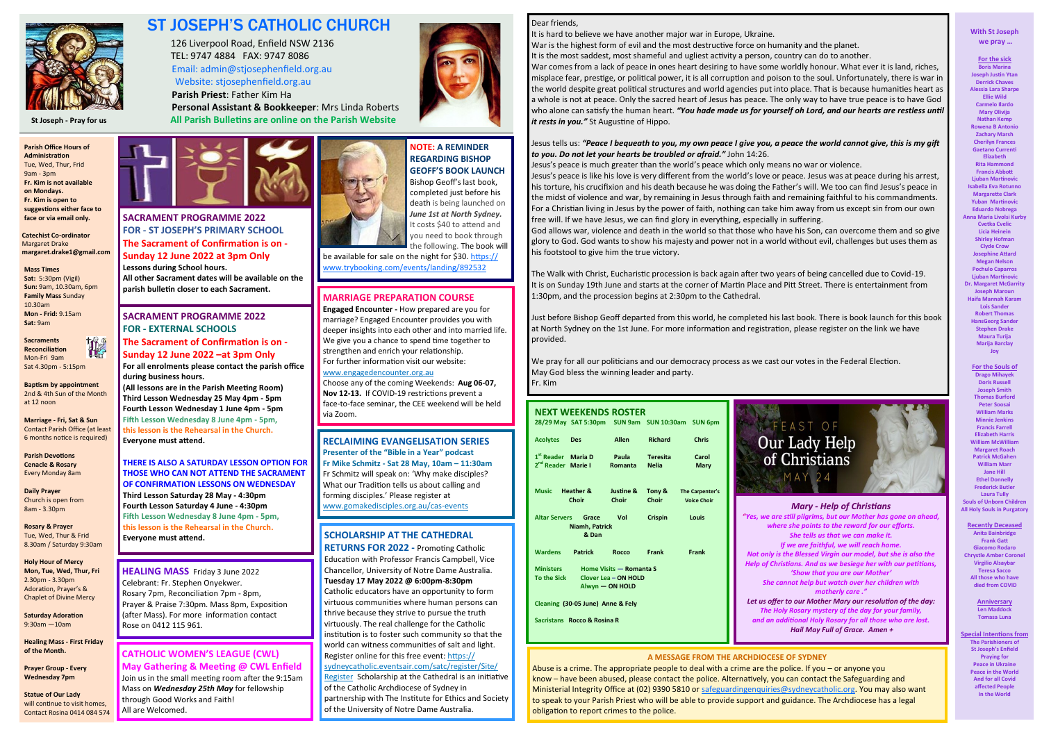

# ST JOSEPH'S CATHOLIC CHURCH

 126 Liverpool Road, Enfield NSW 2136 TEL: 9747 4884 FAX: 9747 8086 Email: admin@stjosephenfield.org.au Website: stjosephenfield.org.au

**Parish Priest**: Father Kim Ha

 **Personal Assistant & Bookkeeper**: Mrs Linda Roberts **St Joseph - Pray for us All Parish Bulletins are online on the Parish Website**

í

據 **Sacraments Reconciliation** Mon-Fri 9am Sat 4.30pm - 5:15pm

**Parish Office Hours of Administration**  Tue, Wed, Thur, Frid 9am - 3pm **Fr. Kim is not available on Mondays. Fr. Kim is open to suggestions either face to face or via email only.**

**Catechist Co-ordinator** Margaret Drake **margaret.drake1@gmail.com**

**Mass Times Sat:** 5:30pm (Vigil) **Sun:** 9am, 10.30am, 6pm **Family Mass** Sunday 10.30am **Mon - Frid:** 9.15am **Sat:** 9am

**Baptism by appointment** 2nd & 4th Sun of the Month at 12 noon

**Marriage - Fri, Sat & Sun** Contact Parish Office (at least 6 months notice is required)

**Parish Devotions Cenacle & Rosary** Every Monday 8am

**Daily Prayer**  Church is open from 8am - 3.30pm

**Rosary & Prayer** Tue, Wed, Thur & Frid 8.30am / Saturday 9:30am

**Holy Hour of Mercy Mon, Tue, Wed, Thur, Fri** 2.30pm - 3.30pm Adoration, Prayer's & Chaplet of Divine Mercy

**Saturday Adoration**  9:30am —10am

**Healing Mass - First Friday of the Month.**

**Prayer Group - Every Wednesday 7pm**

**Statue of Our Lady**  will continue to visit homes. Contact Rosina 0414 084 574



#### **With St Joseph we pray …**

**For the sick Boris Marina Joseph Justin Ytan Derrick Chaves Alessia Lara Sharpe Ellie Wild Carmelo Ilardo Mary Olivija Nathan Kemp Rowena B Antoni Zachary Marsh Cherilyn Frances Gaetano Currenti Elizabeth Rita Hammond Francis Abbott Liuban Martinovi Isabella Eva Rotunno Margarette Clark Yuban Martinovic Eduardo Nobrega Anna Maria Livolsi Kurby Cvetka Cvelic Licia Heinein Shirley Hofman Clyde Crow Josephine Attard Megan Nelson Pochulo Caparros Ljuban Martinovic Dr. Margaret McGarrity Joseph Maroun Haifa Mannah Karam Lois Sander Robert Thomas HansGeorg Sande Stephen Drake Maura Turija Marija Barclay Joy**

**For the Souls of Drago Mihayek Doris Russell Joseph Smith Thomas Burford Peter Soosai William Marks Minnie Jenkins Francis Farrel Elizabeth Harris William McWilliam Margaret Roach Patrick McGahen William Marr Jane Hill Ethel Donnelly Frederick Butler Laura Tully Souls of Unborn Children All Holy Souls in Purgatory**

**Recently Deceased Anita Bainbridge Frank Gatt Giacomo Rodaro Chrystle Amber Coronel Virgilio Alsaybar Teresa Sacco All those who have died from COVID**

> **Anniversary Len Maddock Tomasa Luna**

**Special Intentions from The Parishioners of St Joseph's Enfield Praying for Peace in Ukraine Peace in the World And for all Covid affected People In the World**

# Dear friends,

It is hard to believe we have another major war in Europe, Ukraine. War is the highest form of evil and the most destructive force on humanity and the planet. It is the most saddest, most shameful and ugliest activity a person, country can do to another. War comes from a lack of peace in ones heart desiring to have some worldly honour. What ever it is land, riches, misplace fear, prestige, or political power, it is all corruption and poison to the soul. Unfortunately, there is war in the world despite great political structures and world agencies put into place. That is because humanities heart as a whole is not at peace. Only the sacred heart of Jesus has peace. The only way to have true peace is to have God who alone can satisfy the human heart. *"You hade made us for yourself oh Lord, and our hearts are restless until it rests in you."* St Augustine of Hippo.

Jesus tells us: *"Peace I bequeath to you, my own peace I give you, a peace the world cannot give, this is my gift to you. Do not let your hearts be troubled or afraid."* John 14:26. Jesus's peace is much greater than the world's peace which only means no war or violence. Jesus's peace is like his love is very different from the world's love or peace. Jesus was at peace during his arrest, his torture, his crucifixion and his death because he was doing the Father's will. We too can find Jesus's peace in the midst of violence and war, by remaining in Jesus through faith and remaining faithful to his commandments. For a Christian living in Jesus by the power of faith, nothing can take him away from us except sin from our own free will. If we have Jesus, we can find glory in everything, especially in suffering. God allows war, violence and death in the world so that those who have his Son, can overcome them and so give glory to God. God wants to show his majesty and power not in a world without evil, challenges but uses them as his footstool to give him the true victory.

# $\begin{array}{c} \n\blacksquare \\ \n\blacksquare \end{array}$ **MARRIAGE PREPARATION COURSE**

c<br>V **Engaged Encounter -** How prepared are you for marriage? Engaged Encounter provides you with deeper insights into each other and into married life. We give you a chance to spend time together to strengthen and enrich your relationship. For further information visit our website:

 $rac{v}{c}$ Choose any of the coming Weekends: **Aug 06-07,** 

 $\frac{f}{v}$ **Nov 12-13.** If COVID-19 restrictions prevent a face-to-face seminar, the CEE weekend will be held

F<br>F  $\frac{F}{f}$ **Presenter of the "Bible in a Year" podcast Fr Mike Schmitz - Sat 28 May, 10am – 11:30am** Fr Schmitz will speak on: 'Why make disciples? What our Tradition tells us about calling and

The Walk with Christ, Eucharistic procession is back again after two years of being cancelled due to Covid-19. It is on Sunday 19th June and starts at the corner of Martin Place and Pitt Street. There is entertainment from 1:30pm, and the procession begins at 2:30pm to the Cathedral.

Join us in the small meeting room after the 9:15am Mass on *Wednesday 25th May* for fellowship through Good Works and Faith! All are Welcomed.



Just before Bishop Geoff departed from this world, he completed his last book. There is book launch for this book at North Sydney on the 1st June. For more information and registration, please register on the link we have provided.

 $rac{v}{u}$ be available for sale on the night for \$30. [https://](https://www.trybooking.com/events/landing/892532) [www.trybooking.com/events/landing/892532](https://www.trybooking.com/events/landing/892532)

> We pray for all our politicians and our democracy process as we cast our votes in the Federal Election. May God bless the winning leader and party. Fr. Kim

# **A MESSAGE FROM THE ARCHDIOCESE OF SYDNEY**

Abuse is a crime. The appropriate people to deal with a crime are the police. If you – or anyone you know – have been abused, please contact the police. Alternatively, you can contact the Safeguarding and Ministerial Integrity Office at (02) 9390 5810 or [safeguardingenquiries@sydneycatholic.org.](mailto:safeguardingenquiries@sydneycatholic.org) You may also want to speak to your Parish Priest who will be able to provide support and guidance. The Archdiocese has a legal obligation to report crimes to the police.

#### *Mary - Help of Christians*

*"Yes, we are still pilgrims, but our Mother has gone on ahead, where she points to the reward for our efforts. She tells us that we can make it. If we are faithful, we will reach home. Not only is the Blessed Virgin our model, but she is also the Help of Christians. And as we besiege her with our petitions, 'Show that you are our Mother' She cannot help but watch over her children with motherly care ."* 

*Let us offer to our Mother Mary our resolution of the day: The Holy Rosary mystery of the day for your family, and an additional Holy Rosary for all those who are lost. Hail May Full of Grace. Amen +*

A<sup>1</sup>

 $\ddot{\cdot}$ 

 $\frac{1}{2}$ 

 $\frac{1}{1}$ 

 $\frac{1}{3}$ 

 $\frac{1}{2}$ 

| NEXT WEEKENDS ROSTER                                                             |                                                  |                                      |                 |                                       |
|----------------------------------------------------------------------------------|--------------------------------------------------|--------------------------------------|-----------------|---------------------------------------|
|                                                                                  | 28/29 May SAT 5:30pm SUN 9am SUN 10:30am SUN 6pm |                                      |                 |                                       |
| <b>Acolytes</b>                                                                  | <b>Des</b>                                       | <b>Allen</b>                         | <b>Richard</b>  | <b>Chris</b>                          |
| 1 <sup>st</sup> Reader Maria D<br>2 <sup>nd</sup> Reader Marie I                 |                                                  | <b>Paula</b><br><b>Romanta Nelia</b> | <b>Teresita</b> | Carol<br>Mary                         |
|                                                                                  | Music Heather &<br>Choir                         | Justine &<br>Choir                   | Tony &<br>Choir | The Carpenter's<br><b>Voice Choir</b> |
| Altar Servers Grace<br>Vol<br><b>Crispin</b><br>Louis<br>Niamh, Patrick<br>& Dan |                                                  |                                      |                 |                                       |
| Wardens                                                                          | <b>Patrick</b>                                   | <b>Rocco</b>                         | Frank           | Frank                                 |
| <b>Ministers</b><br>Home Visits - Romanta S                                      |                                                  |                                      |                 |                                       |
| To the Sick<br><b>Clover Lea - ON HOLD</b>                                       |                                                  |                                      |                 |                                       |
| Alwyn - ON HOLD                                                                  |                                                  |                                      |                 |                                       |
| Cleaning (30-05 June) Anne & Fely                                                |                                                  |                                      |                 |                                       |
| Sacristans Rocco & Rosina R                                                      |                                                  |                                      |                 |                                       |
|                                                                                  |                                                  |                                      |                 |                                       |

**SACRAMENT PROGRAMME 2022 FOR - ST JOSEPH'S PRIMARY SCHOOL The Sacrament of Confirmation is on - Sunday 12 June 2022 at 3pm Only Lessons during School hours. All other Sacrament dates will be available on the parish bulletin closer to each Sacrament.** 

# **SCHOLARSHIP AT THE CATHEDRAL**

**RETURNS FOR 2022 -** Promoting Catholic Education with Professor Francis Campbell, Vice Chancellor, University of Notre Dame Australia. **Tuesday 17 May 2022 @ 6:00pm-8:30pm**  Catholic educators have an opportunity to form virtuous communities where human persons can thrive because they strive to pursue the truth virtuously. The real challenge for the Catholic institution is to foster such community so that the world can witness communities of salt and light. Register online for this free event: [https://](https://comms.sydneycatholic.org/ch/75218/bc991/2219706/WE7SPMlfyVs7BFMdcXvbCFWwJTpzMxMtFaWtj4mi.html) [sydneycatholic.eventsair.com/satc/register/Site/](https://comms.sydneycatholic.org/ch/75218/bc991/2219706/WE7SPMlfyVs7BFMdcXvbCFWwJTpzMxMtFaWtj4mi.html) [Register](https://comms.sydneycatholic.org/ch/75218/bc991/2219706/WE7SPMlfyVs7BFMdcXvbCFWwJTpzMxMtFaWtj4mi.html) Scholarship at the Cathedral is an initiative of the Catholic Archdiocese of Sydney in

partnership with The Institute for Ethics and Society of the University of Notre Dame Australia.

**SACRAMENT PROGRAMME 2022 FOR - EXTERNAL SCHOOLS The Sacrament of Confirmation is on - Sunday 12 June 2022 –at 3pm Only For all enrolments please contact the parish office during business hours.** 

**(All lessons are in the Parish Meeting Room) Third Lesson Wednesday 25 May 4pm - 5pm Fourth Lesson Wednesday 1 June 4pm - 5pm Fifth Lesson Wednesday 8 June 4pm - 5pm, this lesson is the Rehearsal in the Church. Everyone must attend.**

**THERE IS ALSO A SATURDAY LESSON OPTION FOR THOSE WHO CAN NOT ATTEND THE SACRAMENT OF CONFIRMATION LESSONS ON WEDNESDAY Third Lesson Saturday 28 May - 4:30pm Fourth Lesson Saturday 4 June - 4:30pm Fifth Lesson Wednesday 8 June 4pm - 5pm, this lesson is the Rehearsal in the Church. Everyone must attend.**

[www.engagedencounter.org.au](https://comms.sydneycatholic.org/ch/75218/bxr1d/2219287/ksKUKIgQgM482It5B3xEkz3LUv42X820ZJlvOdWm.html)

via Zoom.

# **RECLAIMING EVANGELISATION SERIES**

forming disciples.' Please register at

[www.gomakedisciples.org.au/cas](https://comms.sydneycatholic.org/ch/75218/bjjp5/2219481/LiC85HHdQ_c4rF9cXVmfwlvbLMdarMVHE6Gpr1Bf.html)-events



**HEALING MASS** Friday 3 June 2022 Celebrant: Fr. Stephen Onyekwer. Rosary 7pm, Reconciliation 7pm - 8pm, Prayer & Praise 7:30pm. Mass 8pm, Exposition (after Mass). For more information contact Rose on 0412 115 961.

# **CATHOLIC WOMEN'S LEAGUE (CWL) May Gathering & Meeting @ CWL Enfield**

# **NOTE: A REMINDER REGARDING BISHOP GEOFF'S BOOK LAUNCH**

Bishop Geoff's last book, completed just before his death is being launched on *June 1st at North Sydney.*  It costs \$40 to attend and you need to book through

# the following. The book will